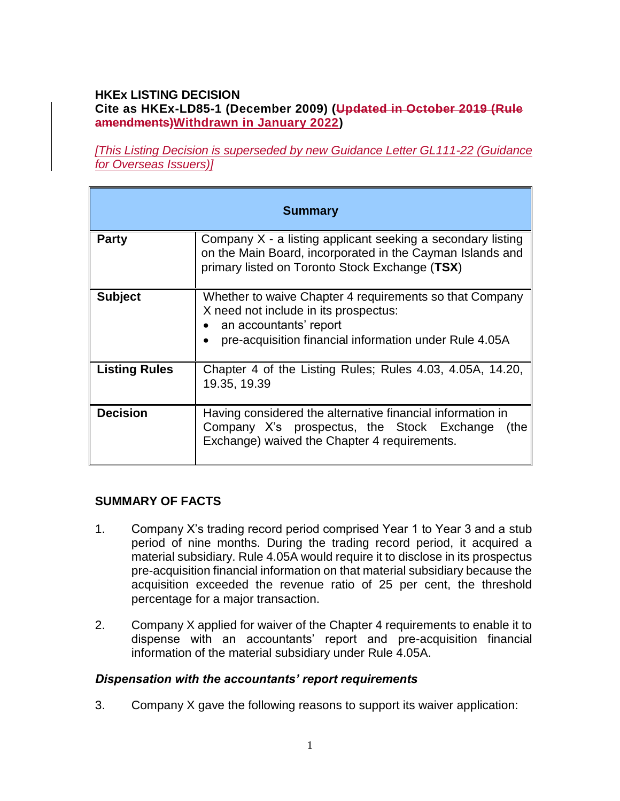#### **HKEx LISTING DECISION Cite as HKEx-LD85-1 (December 2009) (Updated in October 2019 (Rule amendments)Withdrawn in January 2022)**

*[This Listing Decision is superseded by new Guidance Letter GL111-22 (Guidance for Overseas Issuers)]*

| <b>Summary</b>       |                                                                                                                                                                                      |
|----------------------|--------------------------------------------------------------------------------------------------------------------------------------------------------------------------------------|
| <b>Party</b>         | Company X - a listing applicant seeking a secondary listing<br>on the Main Board, incorporated in the Cayman Islands and<br>primary listed on Toronto Stock Exchange (TSX)           |
| <b>Subject</b>       | Whether to waive Chapter 4 requirements so that Company<br>X need not include in its prospectus:<br>an accountants' report<br>pre-acquisition financial information under Rule 4.05A |
| <b>Listing Rules</b> | Chapter 4 of the Listing Rules; Rules 4.03, 4.05A, 14.20,<br>19.35, 19.39                                                                                                            |
| <b>Decision</b>      | Having considered the alternative financial information in<br>Company X's prospectus, the Stock Exchange<br>(the<br>Exchange) waived the Chapter 4 requirements.                     |

#### **SUMMARY OF FACTS**

- 1. Company X's trading record period comprised Year 1 to Year 3 and a stub period of nine months. During the trading record period, it acquired a material subsidiary. Rule 4.05A would require it to disclose in its prospectus pre-acquisition financial information on that material subsidiary because the acquisition exceeded the revenue ratio of 25 per cent, the threshold percentage for a major transaction.
- 2. Company X applied for waiver of the Chapter 4 requirements to enable it to dispense with an accountants' report and pre-acquisition financial information of the material subsidiary under Rule 4.05A.

#### *Dispensation with the accountants' report requirements*

3. Company X gave the following reasons to support its waiver application: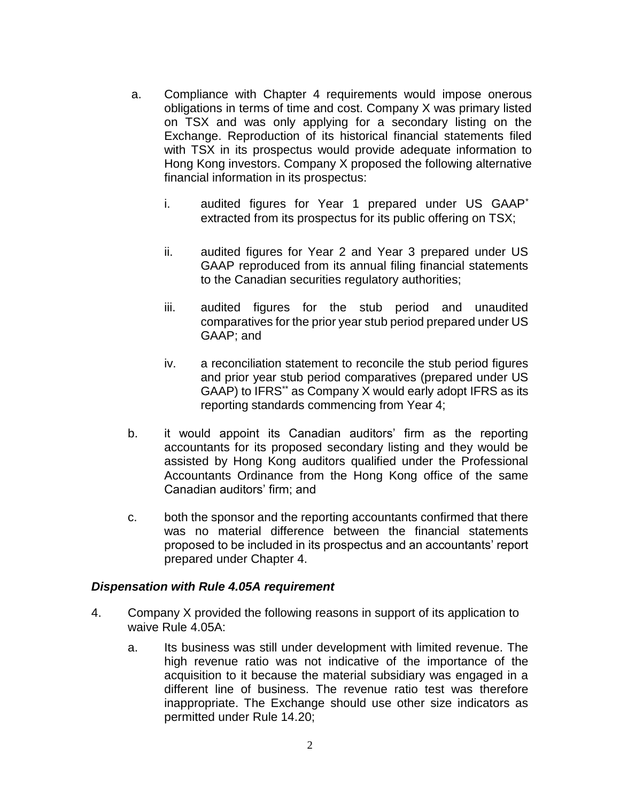- a. Compliance with Chapter 4 requirements would impose onerous obligations in terms of time and cost. Company X was primary listed on TSX and was only applying for a secondary listing on the Exchange. Reproduction of its historical financial statements filed with TSX in its prospectus would provide adequate information to Hong Kong investors. Company X proposed the following alternative financial information in its prospectus:
	- i. audited figures for Year 1 prepared under US GAAP\* extracted from its prospectus for its public offering on TSX;
	- ii. audited figures for Year 2 and Year 3 prepared under US GAAP reproduced from its annual filing financial statements to the Canadian securities regulatory authorities;
	- iii. audited figures for the stub period and unaudited comparatives for the prior year stub period prepared under US GAAP; and
	- iv. a reconciliation statement to reconcile the stub period figures and prior year stub period comparatives (prepared under US GAAP) to IFRS\*\* as Company X would early adopt IFRS as its reporting standards commencing from Year 4;
- b. it would appoint its Canadian auditors' firm as the reporting accountants for its proposed secondary listing and they would be assisted by Hong Kong auditors qualified under the Professional Accountants Ordinance from the Hong Kong office of the same Canadian auditors' firm; and
- c. both the sponsor and the reporting accountants confirmed that there was no material difference between the financial statements proposed to be included in its prospectus and an accountants' report prepared under Chapter 4.

#### *Dispensation with Rule 4.05A requirement*

- 4. Company X provided the following reasons in support of its application to waive Rule 4.05A:
	- a. Its business was still under development with limited revenue. The high revenue ratio was not indicative of the importance of the acquisition to it because the material subsidiary was engaged in a different line of business. The revenue ratio test was therefore inappropriate. The Exchange should use other size indicators as permitted under Rule 14.20;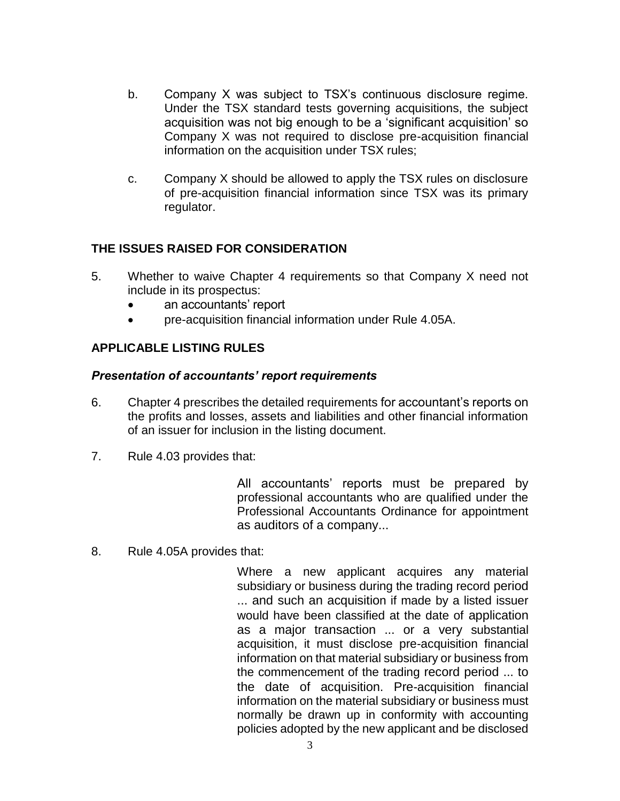- b. Company X was subject to TSX's continuous disclosure regime. Under the TSX standard tests governing acquisitions, the subject acquisition was not big enough to be a 'significant acquisition' so Company X was not required to disclose pre-acquisition financial information on the acquisition under TSX rules;
- c. Company X should be allowed to apply the TSX rules on disclosure of pre-acquisition financial information since TSX was its primary regulator.

### **THE ISSUES RAISED FOR CONSIDERATION**

- 5. Whether to waive Chapter 4 requirements so that Company X need not include in its prospectus:
	- an accountants' report
	- pre-acquisition financial information under Rule 4.05A.

## **APPLICABLE LISTING RULES**

#### *Presentation of accountants' report requirements*

- 6. Chapter 4 prescribes the detailed requirements for accountant's reports on the profits and losses, assets and liabilities and other financial information of an issuer for inclusion in the listing document.
- 7. Rule 4.03 provides that:

All accountants' reports must be prepared by professional accountants who are qualified under the Professional Accountants Ordinance for appointment as auditors of a company...

8. Rule 4.05A provides that:

Where a new applicant acquires any material subsidiary or business during the trading record period ... and such an acquisition if made by a listed issuer would have been classified at the date of application as a major transaction ... or a very substantial acquisition, it must disclose pre-acquisition financial information on that material subsidiary or business from the commencement of the trading record period ... to the date of acquisition. Pre-acquisition financial information on the material subsidiary or business must normally be drawn up in conformity with accounting policies adopted by the new applicant and be disclosed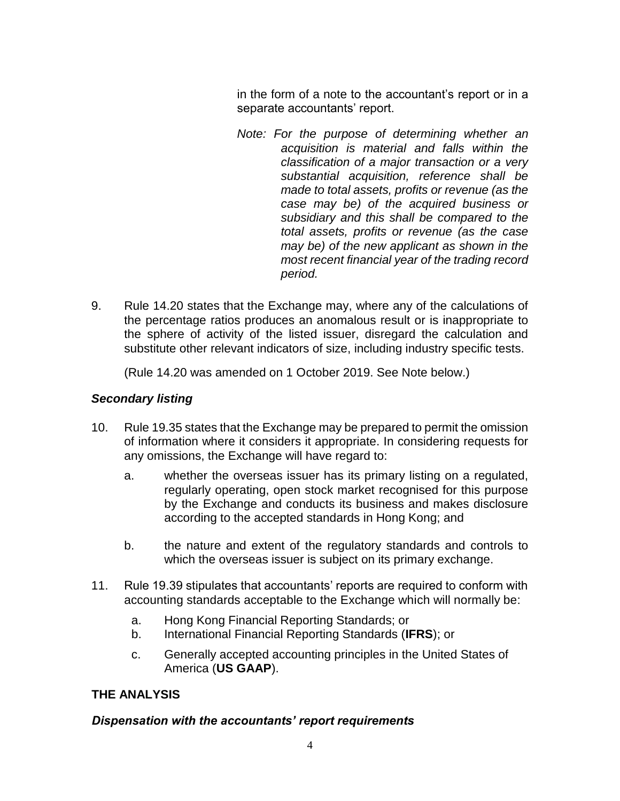in the form of a note to the accountant's report or in a separate accountants' report.

- *Note: For the purpose of determining whether an acquisition is material and falls within the classification of a major transaction or a very substantial acquisition, reference shall be made to total assets, profits or revenue (as the case may be) of the acquired business or subsidiary and this shall be compared to the total assets, profits or revenue (as the case may be) of the new applicant as shown in the most recent financial year of the trading record period.*
- 9. Rule 14.20 states that the Exchange may, where any of the calculations of the percentage ratios produces an anomalous result or is inappropriate to the sphere of activity of the listed issuer, disregard the calculation and substitute other relevant indicators of size, including industry specific tests.

(Rule 14.20 was amended on 1 October 2019. See Note below.)

## *Secondary listing*

- 10. Rule 19.35 states that the Exchange may be prepared to permit the omission of information where it considers it appropriate. In considering requests for any omissions, the Exchange will have regard to:
	- a. whether the overseas issuer has its primary listing on a regulated, regularly operating, open stock market recognised for this purpose by the Exchange and conducts its business and makes disclosure according to the accepted standards in Hong Kong; and
	- b. the nature and extent of the regulatory standards and controls to which the overseas issuer is subject on its primary exchange.
- 11. Rule 19.39 stipulates that accountants' reports are required to conform with accounting standards acceptable to the Exchange which will normally be:
	- a. Hong Kong Financial Reporting Standards; or
	- b. International Financial Reporting Standards (**IFRS**); or
	- c. Generally accepted accounting principles in the United States of America (**US GAAP**).

# **THE ANALYSIS**

## *Dispensation with the accountants' report requirements*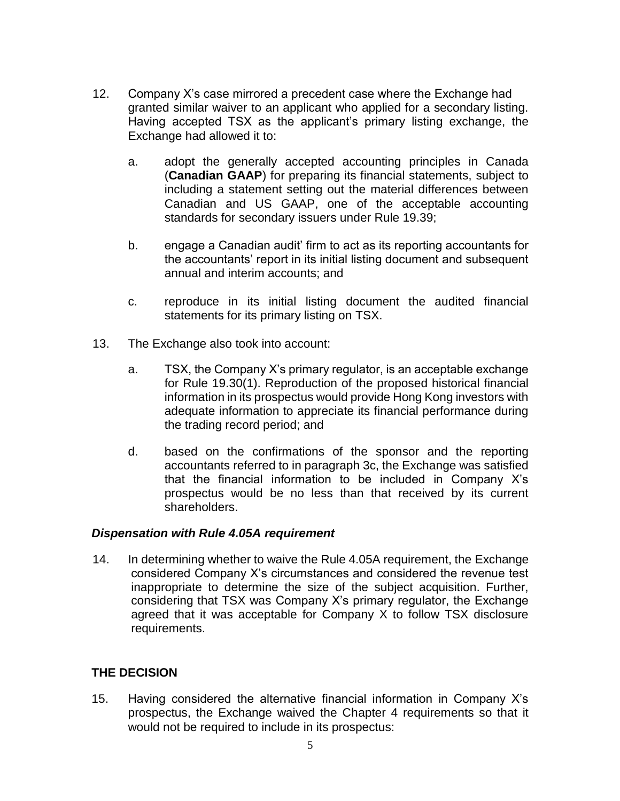- 12. Company X's case mirrored a precedent case where the Exchange had granted similar waiver to an applicant who applied for a secondary listing. Having accepted TSX as the applicant's primary listing exchange, the Exchange had allowed it to:
	- a. adopt the generally accepted accounting principles in Canada (**Canadian GAAP**) for preparing its financial statements, subject to including a statement setting out the material differences between Canadian and US GAAP, one of the acceptable accounting standards for secondary issuers under Rule 19.39;
	- b. engage a Canadian audit' firm to act as its reporting accountants for the accountants' report in its initial listing document and subsequent annual and interim accounts; and
	- c. reproduce in its initial listing document the audited financial statements for its primary listing on TSX.
- 13. The Exchange also took into account:
	- a. TSX, the Company X's primary regulator, is an acceptable exchange for Rule 19.30(1). Reproduction of the proposed historical financial information in its prospectus would provide Hong Kong investors with adequate information to appreciate its financial performance during the trading record period; and
	- d. based on the confirmations of the sponsor and the reporting accountants referred to in paragraph 3c, the Exchange was satisfied that the financial information to be included in Company X's prospectus would be no less than that received by its current shareholders.

#### *Dispensation with Rule 4.05A requirement*

14. In determining whether to waive the Rule 4.05A requirement, the Exchange considered Company X's circumstances and considered the revenue test inappropriate to determine the size of the subject acquisition. Further, considering that TSX was Company X's primary regulator, the Exchange agreed that it was acceptable for Company X to follow TSX disclosure requirements.

## **THE DECISION**

15. Having considered the alternative financial information in Company X's prospectus, the Exchange waived the Chapter 4 requirements so that it would not be required to include in its prospectus: